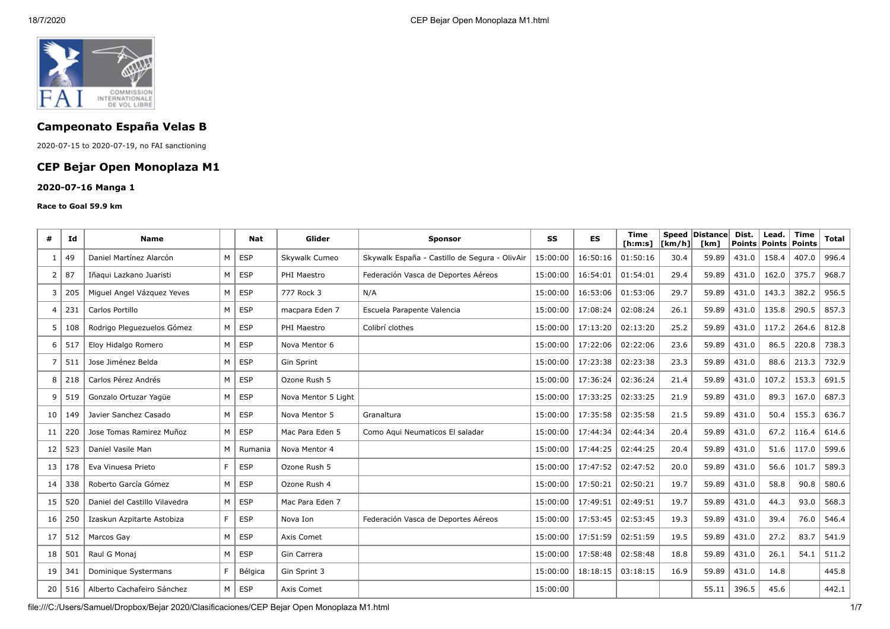

# **Campeonato España Velas B**

2020-07-15 to 2020-07-19, no FAI sanctioning

## **CEP Bejar Open Monoplaza M1**

#### **2020-07-16 Manga 1**

#### **Race to Goal 59.9 km**

| #  | Id  | <b>Name</b>                   |    | Nat        | Glider              | <b>Sponsor</b>                                | SS       | <b>ES</b> | <b>Time</b><br>[ <b>h</b> : <b>m</b> : <b>s</b> ] | $ $ [km/h] $ $ | Speed Distance<br>[km] | Dist.<br><b>Points</b> | Lead.<br>Points | Time<br><b>Points</b> | <b>Total</b> |
|----|-----|-------------------------------|----|------------|---------------------|-----------------------------------------------|----------|-----------|---------------------------------------------------|----------------|------------------------|------------------------|-----------------|-----------------------|--------------|
| -1 | 49  | Daniel Martínez Alarcón       | M  | ESP        | Skywalk Cumeo       | Skywalk España - Castillo de Segura - OlivAir | 15:00:00 | 16:50:16  | 01:50:16                                          | 30.4           | 59.89                  | 431.0                  | 158.4           | 407.0                 | 996.4        |
| 2  | 87  | Iñaqui Lazkano Juaristi       | M  | <b>ESP</b> | PHI Maestro         | Federación Vasca de Deportes Aéreos           | 15:00:00 | 16:54:01  | 01:54:01                                          | 29.4           | 59.89                  | 431.0                  | 162.0           | 375.7                 | 968.7        |
| 3  | 205 | Miguel Angel Vázguez Yeves    | M  | ESP        | 777 Rock 3          | N/A                                           | 15:00:00 | 16:53:06  | 01:53:06                                          | 29.7           | 59.89                  | 431.0                  | 143.3           | 382.2                 | 956.5        |
| 4  | 231 | Carlos Portillo               | M  | <b>ESP</b> | macpara Eden 7      | Escuela Parapente Valencia                    | 15:00:00 | 17:08:24  | 02:08:24                                          | 26.1           | 59.89                  | 431.0                  | 135.8           | 290.5                 | 857.3        |
| 5  | 108 | Rodrigo Pleguezuelos Gómez    | M  | <b>ESP</b> | PHI Maestro         | Colibrí clothes                               | 15:00:00 | 17:13:20  | 02:13:20                                          | 25.2           | 59.89                  | 431.0                  | 117.2           | 264.6                 | 812.8        |
| 6  | 517 | Eloy Hidalgo Romero           | M  | <b>ESP</b> | Nova Mentor 6       |                                               | 15:00:00 | 17:22:06  | 02:22:06                                          | 23.6           | 59.89                  | 431.0                  | 86.5            | 220.8                 | 738.3        |
| 7  | 511 | Jose Jiménez Belda            | M  | <b>ESP</b> | Gin Sprint          |                                               | 15:00:00 | 17:23:38  | 02:23:38                                          | 23.3           | 59.89                  | 431.0                  | 88.6            | 213.3                 | 732.9        |
| 8  | 218 | Carlos Pérez Andrés           | M  | <b>ESP</b> | Ozone Rush 5        |                                               | 15:00:00 | 17:36:24  | 02:36:24                                          | 21.4           | 59.89                  | 431.0                  | 107.2           | 153.3                 | 691.5        |
| 9  | 519 | Gonzalo Ortuzar Yaqüe         | M  | <b>ESP</b> | Nova Mentor 5 Light |                                               | 15:00:00 | 17:33:25  | 02:33:25                                          | 21.9           | 59.89                  | 431.0                  | 89.3            | 167.0                 | 687.3        |
| 10 | 149 | Javier Sanchez Casado         | M  | <b>ESP</b> | Nova Mentor 5       | Granaltura                                    | 15:00:00 | 17:35:58  | 02:35:58                                          | 21.5           | 59.89                  | 431.0                  | 50.4            | 155.3                 | 636.7        |
| 11 | 220 | Jose Tomas Ramirez Muñoz      | M  | <b>ESP</b> | Mac Para Eden 5     | Como Aqui Neumaticos El saladar               | 15:00:00 | 17:44:34  | 02:44:34                                          | 20.4           | 59.89                  | 431.0                  | 67.2            | 116.4                 | 614.6        |
| 12 | 523 | Daniel Vasile Man             | M  | Rumania    | Nova Mentor 4       |                                               | 15:00:00 | 17:44:25  | 02:44:25                                          | 20.4           | 59.89                  | 431.0                  | 51.6            | 117.0                 | 599.6        |
| 13 | 178 | Eva Vinuesa Prieto            | F. | <b>ESP</b> | Ozone Rush 5        |                                               | 15:00:00 | 17:47:52  | 02:47:52                                          | 20.0           | 59.89                  | 431.0                  | 56.6            | 101.7                 | 589.3        |
| 14 | 338 | Roberto García Gómez          | M  | <b>ESP</b> | Ozone Rush 4        |                                               | 15:00:00 | 17:50:21  | 02:50:21                                          | 19.7           | 59.89                  | 431.0                  | 58.8            | 90.8                  | 580.6        |
| 15 | 520 | Daniel del Castillo Vilavedra | M  | <b>ESP</b> | Mac Para Eden 7     |                                               | 15:00:00 | 17:49:51  | 02:49:51                                          | 19.7           | 59.89                  | 431.0                  | 44.3            | 93.0                  | 568.3        |
| 16 | 250 | Izaskun Azpitarte Astobiza    | F. | <b>ESP</b> | Nova Ion            | Federación Vasca de Deportes Aéreos           | 15:00:00 | 17:53:45  | 02:53:45                                          | 19.3           | 59.89                  | 431.0                  | 39.4            | 76.0                  | 546.4        |
| 17 | 512 | Marcos Gay                    | M  | <b>ESP</b> | Axis Comet          |                                               | 15:00:00 | 17:51:59  | 02:51:59                                          | 19.5           | 59.89                  | 431.0                  | 27.2            | 83.7                  | 541.9        |
| 18 | 501 | Raul G Monaj                  | M  | <b>ESP</b> | Gin Carrera         |                                               | 15:00:00 | 17:58:48  | 02:58:48                                          | 18.8           | 59.89                  | 431.0                  | 26.1            | 54.1                  | 511.2        |
| 19 | 341 | Dominique Systermans          | F. | Bélgica    | Gin Sprint 3        |                                               | 15:00:00 | 18:18:15  | 03:18:15                                          | 16.9           | 59.89                  | 431.0                  | 14.8            |                       | 445.8        |
| 20 | 516 | Alberto Cachafeiro Sánchez    | M  | ESP        | Axis Comet          |                                               | 15:00:00 |           |                                                   |                | 55.11                  | 396.5                  | 45.6            |                       | 442.1        |

file:///C:/Users/Samuel/Dropbox/Bejar 2020/Clasificaciones/CEP Bejar Open Monoplaza M1.html 1/7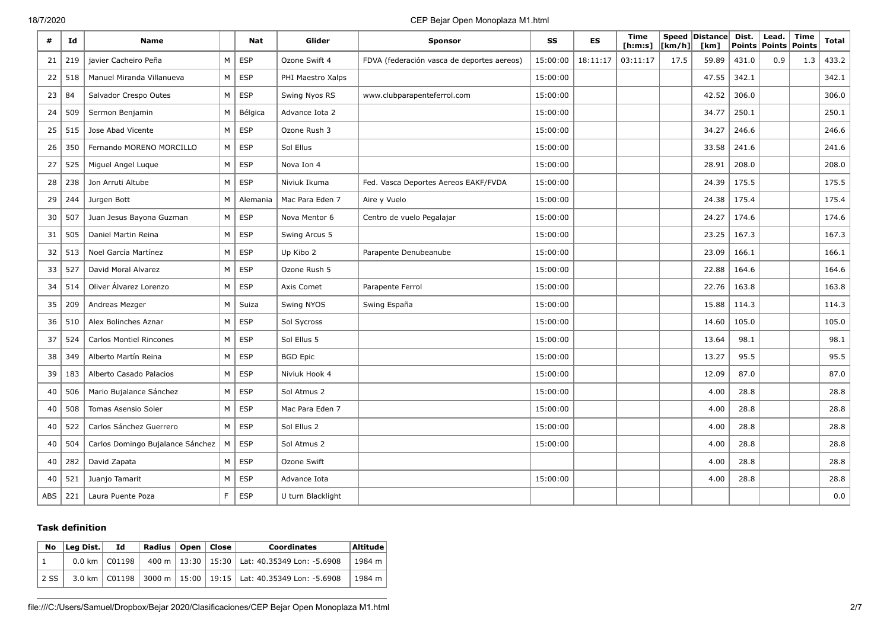#### 18/7/2020 CEP Bejar Open Monoplaza M1.html

| #          | Id  | <b>Name</b>                      |    | Nat        | Glider            | <b>Sponsor</b>                             | SS       | ES       | Time<br>[ <b>h</b> : <b>m</b> : <b>s</b> ] | [km/h] | Speed Distance<br>[km] | Dist. | Lead.<br>Points   Points | <b>Time</b><br><b>Points</b> | <b>Total</b> |
|------------|-----|----------------------------------|----|------------|-------------------|--------------------------------------------|----------|----------|--------------------------------------------|--------|------------------------|-------|--------------------------|------------------------------|--------------|
| 21         | 219 | javier Cacheiro Peña             | M  | <b>ESP</b> | Ozone Swift 4     | FDVA (federación vasca de deportes aereos) | 15:00:00 | 18:11:17 | 03:11:17                                   | 17.5   | 59.89                  | 431.0 | 0.9                      | 1.3                          | 433.2        |
| 22         | 518 | Manuel Miranda Villanueva        | M  | <b>ESP</b> | PHI Maestro Xalps |                                            | 15:00:00 |          |                                            |        | 47.55                  | 342.1 |                          |                              | 342.1        |
| 23         | 84  | Salvador Crespo Outes            | M  | <b>ESP</b> | Swing Nyos RS     | www.clubparapenteferrol.com                | 15:00:00 |          |                                            |        | 42.52                  | 306.0 |                          |                              | 306.0        |
| 24         | 509 | Sermon Benjamin                  | M  | Bélgica    | Advance Iota 2    |                                            | 15:00:00 |          |                                            |        | 34.77                  | 250.1 |                          |                              | 250.1        |
| 25         | 515 | Jose Abad Vicente                | M  | <b>ESP</b> | Ozone Rush 3      |                                            | 15:00:00 |          |                                            |        | 34.27                  | 246.6 |                          |                              | 246.6        |
| 26         | 350 | Fernando MORENO MORCILLO         | M  | <b>ESP</b> | Sol Ellus         |                                            | 15:00:00 |          |                                            |        | 33.58                  | 241.6 |                          |                              | 241.6        |
| 27         | 525 | Miguel Angel Luque               | M  | <b>ESP</b> | Nova Ion 4        |                                            | 15:00:00 |          |                                            |        | 28.91                  | 208.0 |                          |                              | 208.0        |
| 28         | 238 | Jon Arruti Altube                | M  | ESP        | Niviuk Ikuma      | Fed. Vasca Deportes Aereos EAKF/FVDA       | 15:00:00 |          |                                            |        | 24.39                  | 175.5 |                          |                              | 175.5        |
| 29         | 244 | Jurgen Bott                      | M  | Alemania   | Mac Para Eden 7   | Aire y Vuelo                               | 15:00:00 |          |                                            |        | 24.38                  | 175.4 |                          |                              | 175.4        |
| 30         | 507 | Juan Jesus Bayona Guzman         | M  | <b>ESP</b> | Nova Mentor 6     | Centro de vuelo Pegalajar                  | 15:00:00 |          |                                            |        | 24.27                  | 174.6 |                          |                              | 174.6        |
| 31         | 505 | Daniel Martin Reina              | M  | <b>ESP</b> | Swing Arcus 5     |                                            | 15:00:00 |          |                                            |        | 23.25                  | 167.3 |                          |                              | 167.3        |
| 32         | 513 | Noel García Martínez             | M  | ESP        | Up Kibo 2         | Parapente Denubeanube                      | 15:00:00 |          |                                            |        | 23.09                  | 166.1 |                          |                              | 166.1        |
| 33         | 527 | David Moral Alvarez              | M  | <b>ESP</b> | Ozone Rush 5      |                                            | 15:00:00 |          |                                            |        | 22.88                  | 164.6 |                          |                              | 164.6        |
| 34         | 514 | Oliver Álvarez Lorenzo           | M  | ESP        | Axis Comet        | Parapente Ferrol                           | 15:00:00 |          |                                            |        | 22.76                  | 163.8 |                          |                              | 163.8        |
| 35         | 209 | Andreas Mezger                   | M  | Suiza      | Swing NYOS        | Swing España                               | 15:00:00 |          |                                            |        | 15.88                  | 114.3 |                          |                              | 114.3        |
| 36         | 510 | Alex Bolinches Aznar             | M  | ESP        | Sol Sycross       |                                            | 15:00:00 |          |                                            |        | 14.60                  | 105.0 |                          |                              | 105.0        |
| 37         | 524 | <b>Carlos Montiel Rincones</b>   | M  | <b>ESP</b> | Sol Ellus 5       |                                            | 15:00:00 |          |                                            |        | 13.64                  | 98.1  |                          |                              | 98.1         |
| 38         | 349 | Alberto Martín Reina             | M  | ESP        | <b>BGD Epic</b>   |                                            | 15:00:00 |          |                                            |        | 13.27                  | 95.5  |                          |                              | 95.5         |
| 39         | 183 | Alberto Casado Palacios          | M  | <b>ESP</b> | Niviuk Hook 4     |                                            | 15:00:00 |          |                                            |        | 12.09                  | 87.0  |                          |                              | 87.0         |
| 40         | 506 | Mario Bujalance Sánchez          | M  | <b>ESP</b> | Sol Atmus 2       |                                            | 15:00:00 |          |                                            |        | 4.00                   | 28.8  |                          |                              | 28.8         |
| 40         | 508 | <b>Tomas Asensio Soler</b>       | M  | ESP        | Mac Para Eden 7   |                                            | 15:00:00 |          |                                            |        | 4.00                   | 28.8  |                          |                              | 28.8         |
| 40         | 522 | Carlos Sánchez Guerrero          | M  | ESP        | Sol Ellus 2       |                                            | 15:00:00 |          |                                            |        | 4.00                   | 28.8  |                          |                              | 28.8         |
| 40         | 504 | Carlos Domingo Bujalance Sánchez | M  | <b>ESP</b> | Sol Atmus 2       |                                            | 15:00:00 |          |                                            |        | 4.00                   | 28.8  |                          |                              | 28.8         |
| 40         | 282 | David Zapata                     | M  | <b>ESP</b> | Ozone Swift       |                                            |          |          |                                            |        | 4.00                   | 28.8  |                          |                              | 28.8         |
| 40         | 521 | Juanjo Tamarit                   | M  | ESP        | Advance Iota      |                                            | 15:00:00 |          |                                            |        | 4.00                   | 28.8  |                          |                              | 28.8         |
| <b>ABS</b> | 221 | Laura Puente Poza                | F. | <b>ESP</b> | U turn Blacklight |                                            |          |          |                                            |        |                        |       |                          |                              | 0.0          |

#### **Task definition**

| No   | Leg Dist. | Id.             | Radius   Open   Close |  | <b>Coordinates</b>                                                    | Altitude |
|------|-----------|-----------------|-----------------------|--|-----------------------------------------------------------------------|----------|
|      |           | 0.0 km   C01198 |                       |  | 400 m   13:30   15:30   Lat: 40.35349 Lon: -5.6908                    | 1984 m   |
| 2 SS |           |                 |                       |  | 3.0 km   C01198   3000 m   15:00   19:15   Lat: 40.35349 Lon: -5.6908 | 1984 m   |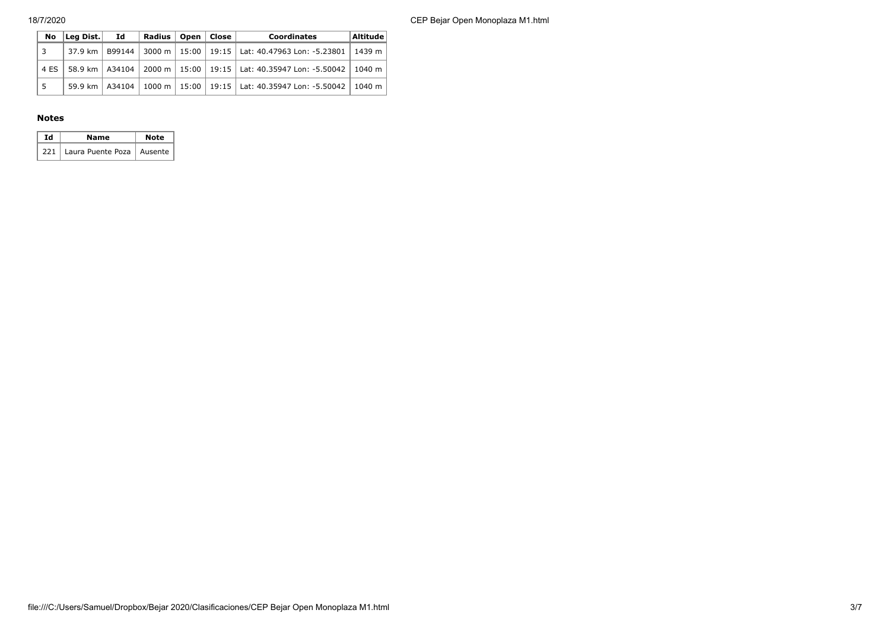18/7/2020 CEP Bejar Open Monoplaza M1.html

| No   | $ $ Leg Dist. $ $ Id | Radius   Open   Close |  | <b>Coordinates</b>                                                               | $\vert$ Altitude $\vert$ |
|------|----------------------|-----------------------|--|----------------------------------------------------------------------------------|--------------------------|
| 3    |                      |                       |  | 37.9 km   B99144   3000 m   15:00   19:15   Lat: 40.47963 Lon: -5.23801   1439 m |                          |
| 4 ES |                      |                       |  | 58.9 km   A34104   2000 m   15:00   19:15   Lat: 40.35947 Lon: −5.50042   1040 m |                          |
|      |                      |                       |  | 59.9 km   A34104   1000 m   15:00   19:15   Lat: 40.35947 Lon: -5.50042   1040 m |                          |

#### **Notes**

| Тd | Name                              | Note |
|----|-----------------------------------|------|
|    | 221   Laura Puente Poza   Ausente |      |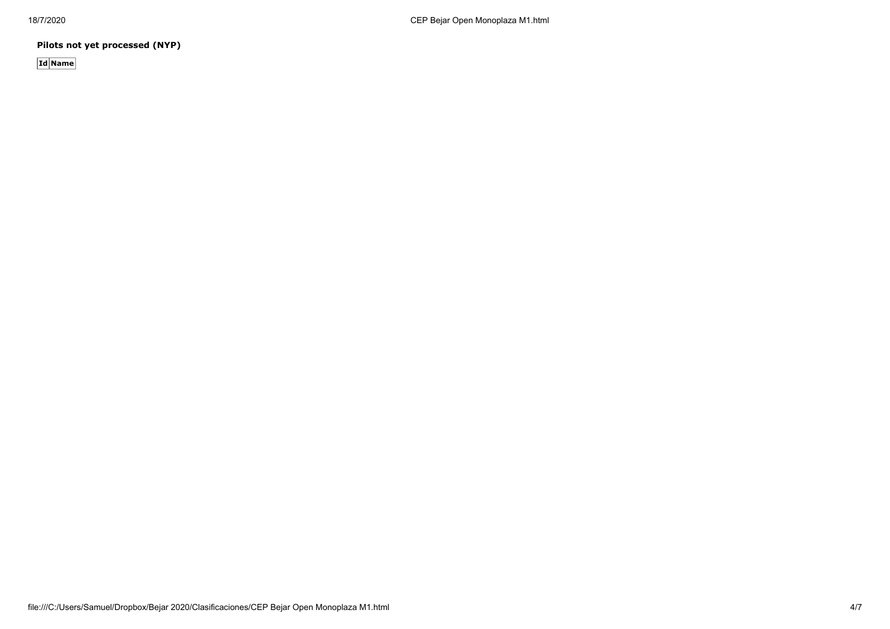**Pilots not yet processed (NYP)**

**Id Name**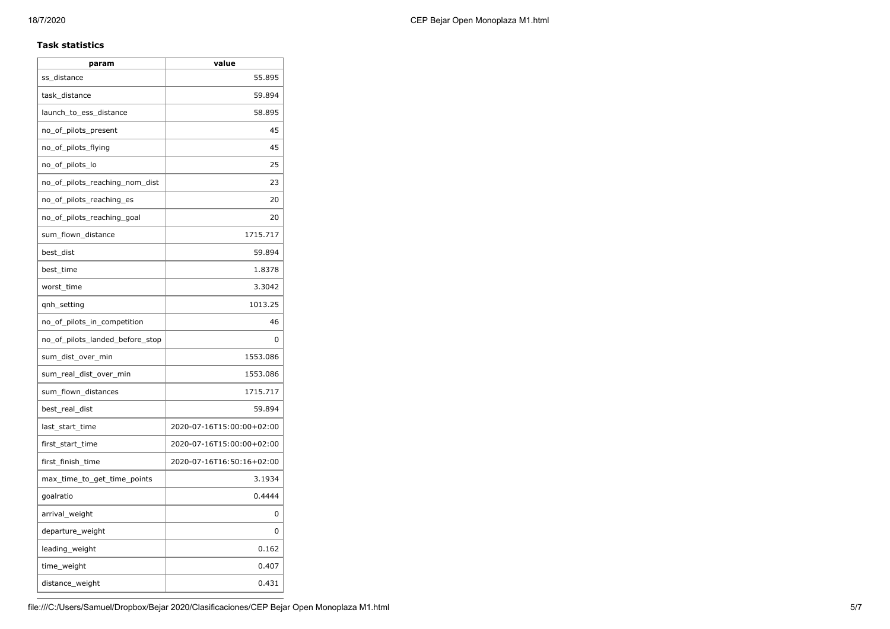#### **Task statistics**

| param                           | value                     |
|---------------------------------|---------------------------|
| ss_distance                     | 55.895                    |
| task_distance                   | 59.894                    |
| launch_to_ess_distance          | 58.895                    |
| no_of_pilots_present            | 45                        |
| no_of_pilots_flying             | 45                        |
| no_of_pilots_lo                 | 25                        |
| no_of_pilots_reaching_nom_dist  | 23                        |
| no_of_pilots_reaching_es        | 20                        |
| no_of_pilots_reaching_goal      | 20                        |
| sum_flown_distance              | 1715.717                  |
| best_dist                       | 59.894                    |
| best_time                       | 1.8378                    |
| worst_time                      | 3.3042                    |
| qnh_setting                     | 1013.25                   |
| no_of_pilots_in_competition     | 46                        |
| no_of_pilots_landed_before_stop | 0                         |
| sum_dist_over_min               | 1553.086                  |
| sum real dist over min          | 1553.086                  |
| sum_flown_distances             | 1715.717                  |
| best_real_dist                  | 59.894                    |
| last_start_time                 | 2020-07-16T15:00:00+02:00 |
| first_start_time                | 2020-07-16T15:00:00+02:00 |
| first_finish_time               | 2020-07-16T16:50:16+02:00 |
| max_time_to_get_time_points     | 3.1934                    |
| goalratio                       | 0.4444                    |
| arrival_weight                  | 0                         |
| departure_weight                | 0                         |
| leading_weight                  | 0.162                     |
| time_weight                     | 0.407                     |
| distance_weight                 | 0.431                     |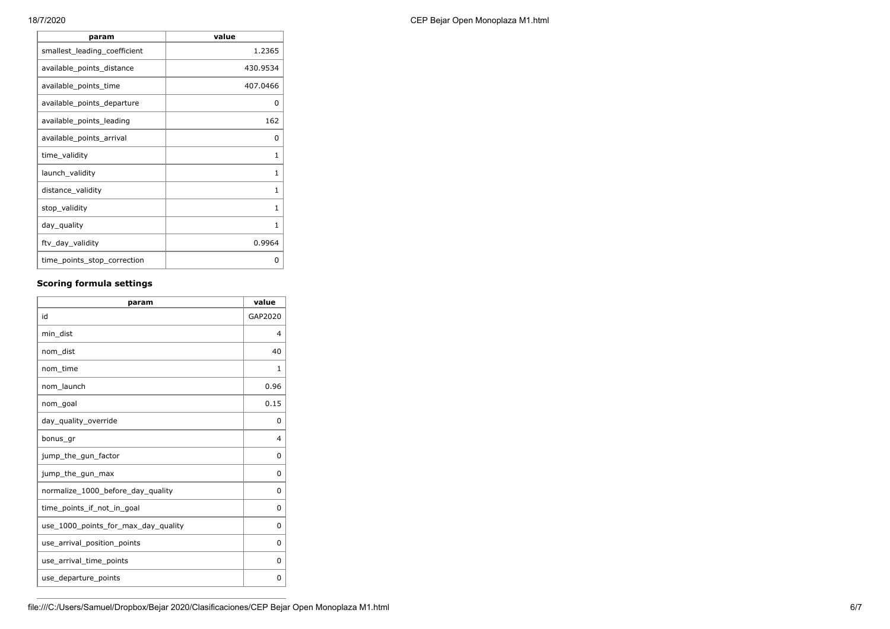| 18/7/2020 | CEP Beiar Open Monoplaza M1.html |
|-----------|----------------------------------|
|           |                                  |

| param                        | value    |
|------------------------------|----------|
| smallest_leading_coefficient | 1.2365   |
| available_points_distance    | 430.9534 |
| available_points_time        | 407.0466 |
| available_points_departure   | 0        |
| available_points_leading     | 162      |
| available_points_arrival     | 0        |
| time_validity                | 1        |
| launch_validity              | 1        |
| distance_validity            | 1        |
| stop_validity                | 1        |
| day_quality                  | 1        |
| ftv_day_validity             | 0.9964   |
| time_points_stop_correction  | 0        |

### **Scoring formula settings**

| param                               | value          |
|-------------------------------------|----------------|
| id                                  | GAP2020        |
| min_dist                            | $\overline{4}$ |
| nom dist                            | 40             |
| nom time                            | 1              |
| nom launch                          | 0.96           |
| nom_goal                            | 0.15           |
| day_quality_override                | 0              |
| bonus_gr                            | 4              |
| jump_the_gun_factor                 | 0              |
| jump_the_gun_max                    | 0              |
| normalize_1000_before_day_quality   | 0              |
| time points if not in goal          | 0              |
| use_1000_points_for_max_day_quality | 0              |
| use_arrival_position_points         | 0              |
| use_arrival_time_points             | 0              |
| use_departure_points                | 0              |